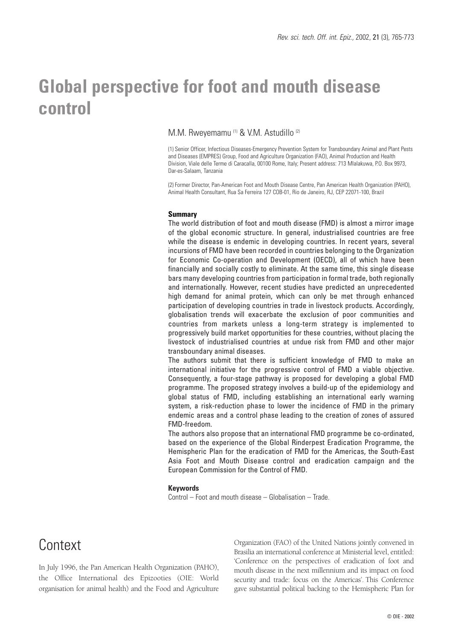# **Global perspective for foot and mouth disease control**

### M.M. Rweyemamu<sup>(1)</sup> & V.M. Astudillo<sup>(2)</sup>

(1) Senior Officer, Infectious Diseases-Emergency Prevention System for Transboundary Animal and Plant Pests and Diseases (EMPRES) Group, Food and Agriculture Organization (FAO), Animal Production and Health Division, Viale delle Terme di Caracalla, 00100 Rome, Italy; Present address: 713 Mlalakuwa, P.O. Box 9973, Dar-es-Salaam, Tanzania

(2) Former Director, Pan-American Foot and Mouth Disease Centre, Pan American Health Organization (PAHO), Animal Health Consultant, Rua Sa Ferreira 127 COB-01, Rio de Janeiro, RJ, CEP 22071-100, Brazil

#### **Summary**

The world distribution of foot and mouth disease (FMD) is almost a mirror image of the global economic structure. In general, industrialised countries are free while the disease is endemic in developing countries. In recent years, several incursions of FMD have been recorded in countries belonging to the Organization for Economic Co-operation and Development (OECD), all of which have been financially and socially costly to eliminate. At the same time, this single disease bars many developing countries from participation in formal trade, both regionally and internationally. However, recent studies have predicted an unprecedented high demand for animal protein, which can only be met through enhanced participation of developing countries in trade in livestock products. Accordingly, globalisation trends will exacerbate the exclusion of poor communities and countries from markets unless a long-term strategy is implemented to progressively build market opportunities for these countries, without placing the livestock of industrialised countries at undue risk from FMD and other major transboundary animal diseases.

The authors submit that there is sufficient knowledge of FMD to make an international initiative for the progressive control of FMD a viable objective. Consequently, a four-stage pathway is proposed for developing a global FMD programme. The proposed strategy involves a build-up of the epidemiology and global status of FMD, including establishing an international early warning system, a risk-reduction phase to lower the incidence of FMD in the primary endemic areas and a control phase leading to the creation of zones of assured FMD-freedom.

The authors also propose that an international FMD programme be co-ordinated, based on the experience of the Global Rinderpest Eradication Programme, the Hemispheric Plan for the eradication of FMD for the Americas, the South-East Asia Foot and Mouth Disease control and eradication campaign and the European Commission for the Control of FMD.

#### **Keywords**

Control – Foot and mouth disease – Globalisation – Trade.

### **Context**

In July 1996, the Pan American Health Organization (PAHO), the Office International des Epizooties (OIE: World organisation for animal health) and the Food and Agriculture Organization (FAO) of the United Nations jointly convened in Brasilia an international conference at Ministerial level, entitled: 'Conference on the perspectives of eradication of foot and mouth disease in the next millennium and its impact on food security and trade: focus on the Americas'. This Conference gave substantial political backing to the Hemispheric Plan for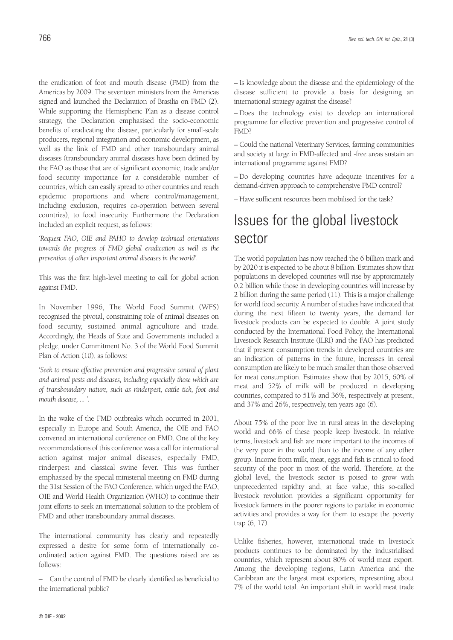the eradication of foot and mouth disease (FMD) from the Americas by 2009. The seventeen ministers from the Americas signed and launched the Declaration of Brasilia on FMD (2). While supporting the Hemispheric Plan as a disease control strategy, the Declaration emphasised the socio-economic benefits of eradicating the disease, particularly for small-scale producers, regional integration and economic development, as well as the link of FMD and other transboundary animal diseases (transboundary animal diseases have been defined by the FAO as those that are of significant economic, trade and/or food security importance for a considerable number of countries, which can easily spread to other countries and reach epidemic proportions and where control/management, including exclusion, requires co-operation between several countries), to food insecurity. Furthermore the Declaration included an explicit request, as follows:

*'Request FAO, OIE and PAHO to develop technical orientations towards the progress of FMD global eradication as well as the prevention of other important animal diseases in the world'.*

This was the first high-level meeting to call for global action against FMD.

In November 1996, The World Food Summit (WFS) recognised the pivotal, constraining role of animal diseases on food security, sustained animal agriculture and trade. Accordingly, the Heads of State and Governments included a pledge, under Commitment No. 3 of the World Food Summit Plan of Action (10), as follows:

*'Seek to ensure effective prevention and progressive control of plant and animal pests and diseases, including especially those which are of transboundary nature, such as rinderpest, cattle tick, foot and mouth disease, ... '.*

In the wake of the FMD outbreaks which occurred in 2001, especially in Europe and South America, the OIE and FAO convened an international conference on FMD. One of the key recommendations of this conference was a call for international action against major animal diseases, especially FMD, rinderpest and classical swine fever. This was further emphasised by the special ministerial meeting on FMD during the 31st Session of the FAO Conference, which urged the FAO, OIE and World Health Organization (WHO) to continue their joint efforts to seek an international solution to the problem of FMD and other transboundary animal diseases.

The international community has clearly and repeatedly expressed a desire for some form of internationally coordinated action against FMD. The questions raised are as follows:

– Can the control of FMD be clearly identified as beneficial to the international public?

– Is knowledge about the disease and the epidemiology of the disease sufficient to provide a basis for designing an international strategy against the disease?

– Does the technology exist to develop an international programme for effective prevention and progressive control of FMD?

– Could the national Veterinary Services, farming communities and society at large in FMD-affected and -free areas sustain an international programme against FMD?

– Do developing countries have adequate incentives for a demand-driven approach to comprehensive FMD control?

– Have sufficient resources been mobilised for the task?

# Issues for the global livestock sector

The world population has now reached the 6 billion mark and by 2020 it is expected to be about 8 billion. Estimates show that populations in developed countries will rise by approximately 0.2 billion while those in developing countries will increase by 2 billion during the same period (11). This is a major challenge for world food security. A number of studies have indicated that during the next fifteen to twenty years, the demand for livestock products can be expected to double. A joint study conducted by the International Food Policy, the International Livestock Research Institute (ILRI) and the FAO has predicted that if present consumption trends in developed countries are an indication of patterns in the future, increases in cereal consumption are likely to be much smaller than those observed for meat consumption. Estimates show that by 2015, 60% of meat and 52% of milk will be produced in developing countries, compared to 51% and 36%, respectively at present, and 37% and 26%, respectively, ten years ago (6).

About 75% of the poor live in rural areas in the developing world and 66% of these people keep livestock. In relative terms, livestock and fish are more important to the incomes of the very poor in the world than to the income of any other group. Income from milk, meat, eggs and fish is critical to food security of the poor in most of the world. Therefore, at the global level, the livestock sector is poised to grow with unprecedented rapidity and, at face value, this so-called livestock revolution provides a significant opportunity for livestock farmers in the poorer regions to partake in economic activities and provides a way for them to escape the poverty trap (6, 17).

Unlike fisheries, however, international trade in livestock products continues to be dominated by the industrialised countries, which represent about 80% of world meat export. Among the developing regions, Latin America and the Caribbean are the largest meat exporters, representing about 7% of the world total. An important shift in world meat trade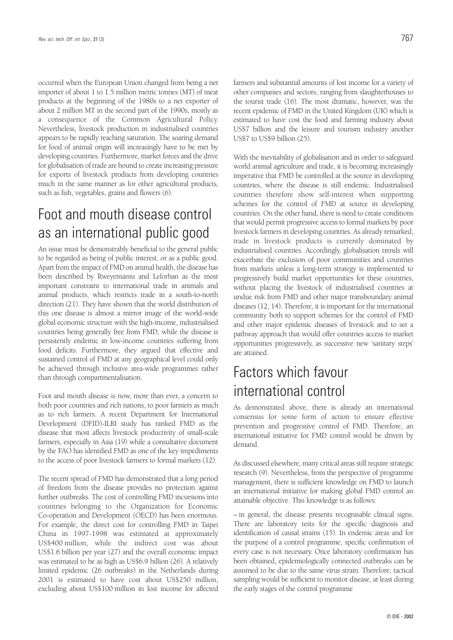occurred when the European Union changed from being a net importer of about 1 to 1.5 million metric tonnes (MT) of meat products at the beginning of the 1980s to a net exporter of about 2 million MT in the second part of the 1990s, mostly as a consequence of the Common Agricultural Policy. Nevertheless, livestock production in industrialised countries appears to be rapidly reaching saturation. The soaring demand for food of animal origin will increasingly have to be met by developing countries. Furthermore, market forces and the drive for globalisation of trade are bound to create increasing pressure for exports of livestock products from developing countries much in the same manner as for other agricultural products, such as fish, vegetables, grains and flowers (6).

# Foot and mouth disease control as an international public good

An issue must be demonstrably beneficial to the general public to be regarded as being of public interest, or as a public good. Apart from the impact of FMD on animal health, the disease has been described by Rweyemamu and Leforban as the most important constraint to international trade in animals and animal products, which restricts trade in a south-to-north direction (21). They have shown that the world distribution of this one disease is almost a mirror image of the world-wide global economic structure with the high-income, industrialised countries being generally free from FMD, while the disease is persistently endemic in low-income countries suffering from food deficits. Furthermore, they argued that effective and sustained control of FMD at any geographical level could only be achieved through inclusive area-wide programmes rather than through compartmentalisation.

Foot and mouth disease is now, more than ever, a concern to both poor countries and rich nations, to poor farmers as much as to rich farmers. A recent Department for International Development (DFID)-ILRI study has ranked FMD as the disease that most affects livestock productivity of small-scale farmers, especially in Asia (19) while a consultative document by the FAO has identified FMD as one of the key impediments to the access of poor livestock farmers to formal markets (12).

The recent spread of FMD has demonstrated that a long period of freedom from the disease provides no protection against further outbreaks. The cost of controlling FMD incursions into countries belonging to the Organization for Economic Co-operation and Development (OECD) has been enormous. For example, the direct cost for controlling FMD in Taipei China in 1997-1998 was estimated at approximately US\$400 million, while the indirect cost was about US\$1.6 billion per year (27) and the overall economic impact was estimated to be as high as US\$6.9 billion (26). A relatively limited epidemic (26 outbreaks) in the Netherlands during 2001 is estimated to have cost about US\$250 million, excluding about US\$100 million in lost income for affected farmers and substantial amounts of lost income for a variety of other companies and sectors, ranging from slaughterhouses to the tourist trade (16). The most dramatic, however, was the recent epidemic of FMD in the United Kingdom (UK) which is estimated to have cost the food and farming industry about US\$7 billion and the leisure and tourism industry another US\$7 to US\$9 billion (25).

With the inevitability of globalisation and in order to safeguard world animal agriculture and trade, it is becoming increasingly imperative that FMD be controlled at the source in developing countries, where the disease is still endemic. Industrialised countries therefore show self-interest when supporting schemes for the control of FMD at source in developing countries. On the other hand, there is need to create conditions that would permit progressive access to formal markets by poor livestock farmers in developing countries. As already remarked, trade in livestock products is currently dominated by industrialised countries. Accordingly, globalisation trends will exacerbate the exclusion of poor communities and countries from markets unless a long-term strategy is implemented to progressively build market opportunities for these countries, without placing the livestock of industrialised countries at undue risk from FMD and other major transboundary animal diseases (12, 14). Therefore, it is important for the international community both to support schemes for the control of FMD and other major epidemic diseases of livestock and to set a pathway approach that would offer countries access to market opportunities progressively, as successive new 'sanitary steps' are attained.

## Factors which favour international control

As demonstrated above, there is already an international consensus for some form of action to ensure effective prevention and progressive control of FMD. Therefore, an international initiative for FMD control would be driven by demand.

As discussed elsewhere, many critical areas still require strategic research (9). Nevertheless, from the perspective of programme management, there is sufficient knowledge on FMD to launch an international initiative for making global FMD control an attainable objective. This knowledge is as follows:

– in general, the disease presents recognisable clinical signs. There are laboratory tests for the specific diagnosis and identification of causal strains (15). In endemic areas and for the purpose of a control programme, specific confirmation of every case is not necessary. Once laboratory confirmation has been obtained, epidemiologically connected outbreaks can be assumed to be due to the same virus strain. Therefore, tactical sampling would be sufficient to monitor disease, at least during the early stages of the control programme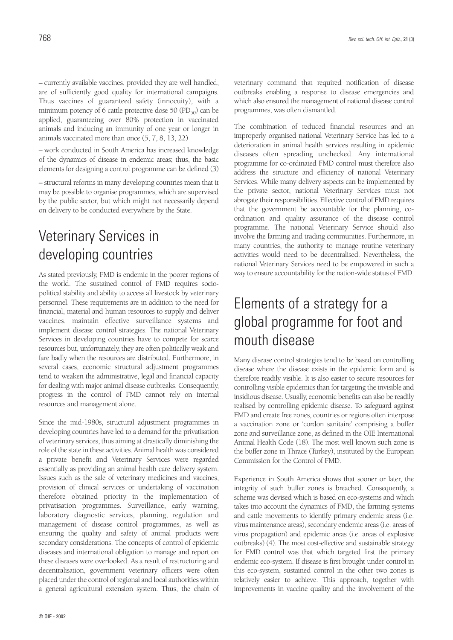– currently available vaccines, provided they are well handled, are of sufficiently good quality for international campaigns. Thus vaccines of guaranteed safety (innocuity), with a minimum potency of 6 cattle protective dose 50 ( $PD_{50}$ ) can be applied, guaranteeing over 80% protection in vaccinated animals and inducing an immunity of one year or longer in animals vaccinated more than once (5, 7, 8, 13, 22)

– work conducted in South America has increased knowledge of the dynamics of disease in endemic areas; thus, the basic elements for designing a control programme can be defined (3)

– structural reforms in many developing countries mean that it may be possible to organise programmes, which are supervised by the public sector, but which might not necessarily depend on delivery to be conducted everywhere by the State.

# Veterinary Services in developing countries

As stated previously, FMD is endemic in the poorer regions of the world. The sustained control of FMD requires sociopolitical stability and ability to access all livestock by veterinary personnel. These requirements are in addition to the need for financial, material and human resources to supply and deliver vaccines, maintain effective surveillance systems and implement disease control strategies. The national Veterinary Services in developing countries have to compete for scarce resources but, unfortunately, they are often politically weak and fare badly when the resources are distributed. Furthermore, in several cases, economic structural adjustment programmes tend to weaken the administrative, legal and financial capacity for dealing with major animal disease outbreaks. Consequently, progress in the control of FMD cannot rely on internal resources and management alone.

Since the mid-1980s, structural adjustment programmes in developing countries have led to a demand for the privatisation of veterinary services, thus aiming at drastically diminishing the role of the state in these activities. Animal health was considered a private benefit and Veterinary Services were regarded essentially as providing an animal health care delivery system. Issues such as the sale of veterinary medicines and vaccines, provision of clinical services or undertaking of vaccination therefore obtained priority in the implementation of privatisation programmes. Surveillance, early warning, laboratory diagnostic services, planning, regulation and management of disease control programmes, as well as ensuring the quality and safety of animal products were secondary considerations. The concepts of control of epidemic diseases and international obligation to manage and report on these diseases were overlooked. As a result of restructuring and decentralisation, government veterinary officers were often placed under the control of regional and local authorities within a general agricultural extension system. Thus, the chain of

veterinary command that required notification of disease outbreaks enabling a response to disease emergencies and which also ensured the management of national disease control programmes, was often dismantled.

The combination of reduced financial resources and an improperly organised national Veterinary Service has led to a deterioration in animal health services resulting in epidemic diseases often spreading unchecked. Any international programme for co-ordinated FMD control must therefore also address the structure and efficiency of national Veterinary Services. While many delivery aspects can be implemented by the private sector, national Veterinary Services must not abrogate their responsibilities. Effective control of FMD requires that the government be accountable for the planning, coordination and quality assurance of the disease control programme. The national Veterinary Service should also involve the farming and trading communities. Furthermore, in many countries, the authority to manage routine veterinary activities would need to be decentralised. Nevertheless, the national Veterinary Services need to be empowered in such a way to ensure accountability for the nation-wide status of FMD.

# Elements of a strategy for a global programme for foot and mouth disease

Many disease control strategies tend to be based on controlling disease where the disease exists in the epidemic form and is therefore readily visible. It is also easier to secure resources for controlling visible epidemics than for targeting the invisible and insidious disease. Usually, economic benefits can also be readily realised by controlling epidemic disease. To safeguard against FMD and create free zones, countries or regions often interpose a vaccination zone or 'cordon sanitaire' comprising a buffer zone and surveillance zone, as defined in the OIE International Animal Health Code (18). The most well known such zone is the buffer zone in Thrace (Turkey), instituted by the European Commission for the Control of FMD.

Experience in South America shows that sooner or later, the integrity of such buffer zones is breached. Consequently, a scheme was devised which is based on eco-systems and which takes into account the dynamics of FMD, the farming systems and cattle movements to identify primary endemic areas (i.e. virus maintenance areas), secondary endemic areas (i.e. areas of virus propagation) and epidemic areas (i.e. areas of explosive outbreaks) (4). The most cost-effective and sustainable strategy for FMD control was that which targeted first the primary endemic eco-system. If disease is first brought under control in this eco-system, sustained control in the other two zones is relatively easier to achieve. This approach, together with improvements in vaccine quality and the involvement of the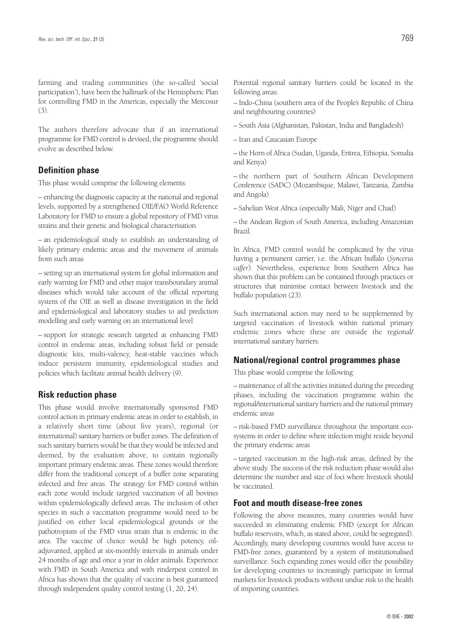farming and trading communities (the so-called 'social participation'), have been the hallmark of the Hemispheric Plan for controlling FMD in the Americas, especially the Mercosur (3).

The authors therefore advocate that if an international programme for FMD control is devised, the programme should evolve as described below.

### **Definition phase**

This phase would comprise the following elements:

– enhancing the diagnostic capacity at the national and regional levels, supported by a strengthened OIE/FAO World Reference Laboratory for FMD to ensure a global repository of FMD virus strains and their genetic and biological characterisation

– an epidemiological study to establish an understanding of likely primary endemic areas and the movement of animals from such areas

– setting up an international system for global information and early warning for FMD and other major transboundary animal diseases which would take account of the official reporting system of the OIE as well as disease investigation in the field and epidemiological and laboratory studies to aid prediction modelling and early warning on an international level

– support for strategic research targeted at enhancing FMD control in endemic areas, including robust field or penside diagnostic kits, multi-valency, heat-stable vaccines which induce persistent immunity, epidemiological studies and policies which facilitate animal health delivery (9).

### **Risk reduction phase**

This phase would involve internationally sponsored FMD control action in primary endemic areas in order to establish, in a relatively short time (about five years), regional (or international) sanitary barriers or buffer zones. The definition of such sanitary barriers would be that they would be infected and deemed, by the evaluation above, to contain regionally important primary endemic areas. These zones would therefore differ from the traditional concept of a buffer zone separating infected and free areas. The strategy for FMD control within each zone would include targeted vaccination of all bovines within epidemiologically defined areas. The inclusion of other species in such a vaccination programme would need to be justified on either local epidemiological grounds or the pathotropism of the FMD virus strain that is endemic in the area. The vaccine of choice would be high potency, oiladjuvanted, applied at six-monthly intervals in animals under 24 months of age and once a year in older animals. Experience with FMD in South America and with rinderpest control in Africa has shown that the quality of vaccine is best guaranteed through independent quality control testing (1, 20, 24).

Potential regional sanitary barriers could be located in the following areas:

– Indo-China (southern area of the People's Republic of China and neighbouring countries)

- South Asia (Afghanistan, Pakistan, India and Bangladesh)
- Iran and Caucasian Europe

– the Horn of Africa (Sudan, Uganda, Eritrea, Ethiopia, Somalia and Kenya)

– the northern part of Southern African Development Conference (SADC) (Mozambique, Malawi, Tanzania, Zambia and Angola)

– Sahelian West Africa (especially Mali, Niger and Chad)

– the Andean Region of South America, including Amazonian Brazil.

In Africa, FMD control would be complicated by the virus having a permanent carrier, i.e. the African buffalo (*Syncerus caffer*). Nevertheless, experience from Southern Africa has shown that this problem can be contained through practices or structures that minimise contact between livestock and the buffalo population (23).

Such international action may need to be supplemented by targeted vaccination of livestock within national primary endemic zones where these are outside the regional/ international sanitary barriers.

### **National/regional control programmes phase**

This phase would comprise the following:

– maintenance of all the activities initiated during the preceding phases, including the vaccination programme within the regional/international sanitary barriers and the national primary endemic areas

– risk-based FMD surveillance throughout the important ecosystems in order to define where infection might reside beyond the primary endemic areas

– targeted vaccination in the high-risk areas, defined by the above study. The success of the risk reduction phase would also determine the number and size of foci where livestock should be vaccinated.

### **Foot and mouth disease-free zones**

Following the above measures, many countries would have succeeded in eliminating endemic FMD (except for African buffalo reservoirs, which, as stated above, could be segregated). Accordingly, many developing countries would have access to FMD-free zones, guaranteed by a system of institutionalised surveillance. Such expanding zones would offer the possibility for developing countries to increasingly participate in formal markets for livestock products without undue risk to the health of importing countries.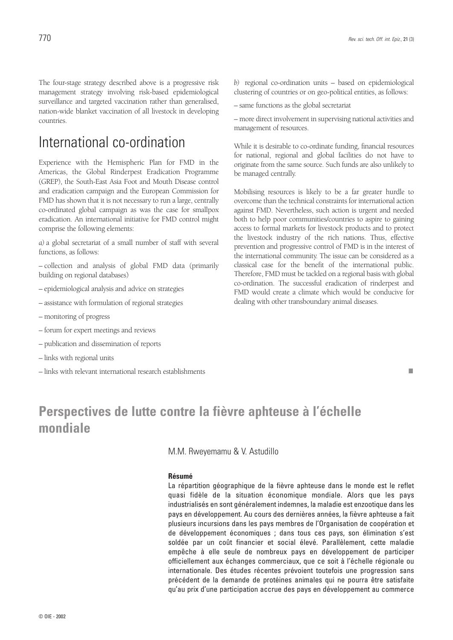The four-stage strategy described above is a progressive risk management strategy involving risk-based epidemiological surveillance and targeted vaccination rather than generalised, nation-wide blanket vaccination of all livestock in developing countries.

### International co-ordination

Experience with the Hemispheric Plan for FMD in the Americas, the Global Rinderpest Eradication Programme (GREP), the South-East Asia Foot and Mouth Disease control and eradication campaign and the European Commission for FMD has shown that it is not necessary to run a large, centrally co-ordinated global campaign as was the case for smallpox eradication. An international initiative for FMD control might comprise the following elements:

*a)* a global secretariat of a small number of staff with several functions, as follows:

– collection and analysis of global FMD data (primarily building on regional databases)

- epidemiological analysis and advice on strategies
- assistance with formulation of regional strategies
- monitoring of progress
- forum for expert meetings and reviews
- publication and dissemination of reports
- links with regional units
- links with relevant international research establishments

– same functions as the global secretariat

– more direct involvement in supervising national activities and management of resources.

While it is desirable to co-ordinate funding, financial resources for national, regional and global facilities do not have to originate from the same source. Such funds are also unlikely to be managed centrally.

Mobilising resources is likely to be a far greater hurdle to overcome than the technical constraints for international action against FMD. Nevertheless, such action is urgent and needed both to help poor communities/countries to aspire to gaining access to formal markets for livestock products and to protect the livestock industry of the rich nations. Thus, effective prevention and progressive control of FMD is in the interest of the international community. The issue can be considered as a classical case for the benefit of the international public. Therefore, FMD must be tackled on a regional basis with global co-ordination. The successful eradication of rinderpest and FMD would create a climate which would be conducive for dealing with other transboundary animal diseases.

■

### **Perspectives de lutte contre la fièvre aphteuse à l'échelle mondiale**

M.M. Rweyemamu & V. Astudillo

#### **Résumé**

La répartition géographique de la fièvre aphteuse dans le monde est le reflet quasi fidèle de la situation économique mondiale. Alors que les pays industrialisés en sont généralement indemnes, la maladie est enzootique dans les pays en développement. Au cours des dernières années, la fièvre aphteuse a fait plusieurs incursions dans les pays membres de l'Organisation de coopération et de développement économiques ; dans tous ces pays, son élimination s'est soldée par un coût financier et social élevé. Parallèlement, cette maladie empêche à elle seule de nombreux pays en développement de participer officiellement aux échanges commerciaux, que ce soit à l'échelle régionale ou internationale. Des études récentes prévoient toutefois une progression sans précédent de la demande de protéines animales qui ne pourra être satisfaite qu'au prix d'une participation accrue des pays en développement au commerce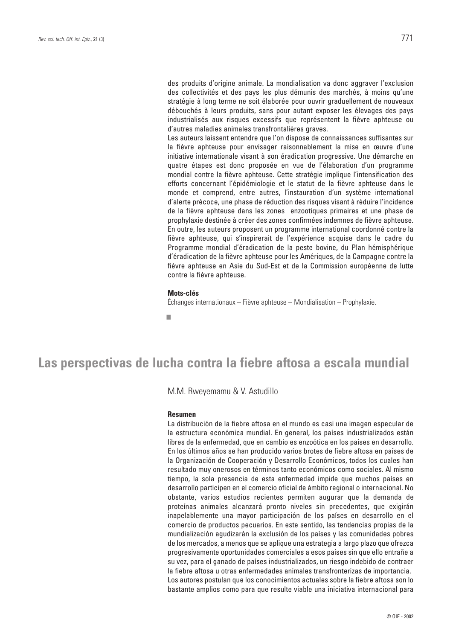des produits d'origine animale. La mondialisation va donc aggraver l'exclusion des collectivités et des pays les plus démunis des marchés, à moins qu'une stratégie à long terme ne soit élaborée pour ouvrir graduellement de nouveaux débouchés à leurs produits, sans pour autant exposer les élevages des pays industrialisés aux risques excessifs que représentent la fièvre aphteuse ou d'autres maladies animales transfrontalières graves.

Les auteurs laissent entendre que l'on dispose de connaissances suffisantes sur la fièvre aphteuse pour envisager raisonnablement la mise en œuvre d'une initiative internationale visant à son éradication progressive. Une démarche en quatre étapes est donc proposée en vue de l'élaboration d'un programme mondial contre la fièvre aphteuse. Cette stratégie implique l'intensification des efforts concernant l'épidémiologie et le statut de la fièvre aphteuse dans le monde et comprend, entre autres, l'instauration d'un système international d'alerte précoce, une phase de réduction des risques visant à réduire l'incidence de la fièvre aphteuse dans les zones enzootiques primaires et une phase de prophylaxie destinée à créer des zones confirmées indemnes de fièvre aphteuse. En outre, les auteurs proposent un programme international coordonné contre la fièvre aphteuse, qui s'inspirerait de l'expérience acquise dans le cadre du Programme mondial d'éradication de la peste bovine, du Plan hémisphérique d'éradication de la fièvre aphteuse pour les Amériques, de la Campagne contre la fièvre aphteuse en Asie du Sud-Est et de la Commission européenne de lutte contre la fièvre aphteuse.

#### **Mots-clés**

Échanges internationaux – Fièvre aphteuse – Mondialisation – Prophylaxie.

■

### **Las perspectivas de lucha contra la fiebre aftosa a escala mundial**

M.M. Rweyemamu & V. Astudillo

#### **Resumen**

La distribución de la fiebre aftosa en el mundo es casi una imagen especular de la estructura económica mundial. En general, los países industrializados están libres de la enfermedad, que en cambio es enzoótica en los países en desarrollo. En los últimos años se han producido varios brotes de fiebre aftosa en países de la Organización de Cooperación y Desarrollo Económicos, todos los cuales han resultado muy onerosos en términos tanto económicos como sociales. Al mismo tiempo, la sola presencia de esta enfermedad impide que muchos países en desarrollo participen en el comercio oficial de ámbito regional o internacional. No obstante, varios estudios recientes permiten augurar que la demanda de proteínas animales alcanzará pronto niveles sin precedentes, que exigirán inapelablemente una mayor participación de los países en desarrollo en el comercio de productos pecuarios. En este sentido, las tendencias propias de la mundialización agudizarán la exclusión de los países y las comunidades pobres de los mercados, a menos que se aplique una estrategia a largo plazo que ofrezca progresivamente oportunidades comerciales a esos países sin que ello entrañe a su vez, para el ganado de países industrializados, un riesgo indebido de contraer la fiebre aftosa u otras enfermedades animales transfronterizas de importancia. Los autores postulan que los conocimientos actuales sobre la fiebre aftosa son lo bastante amplios como para que resulte viable una iniciativa internacional para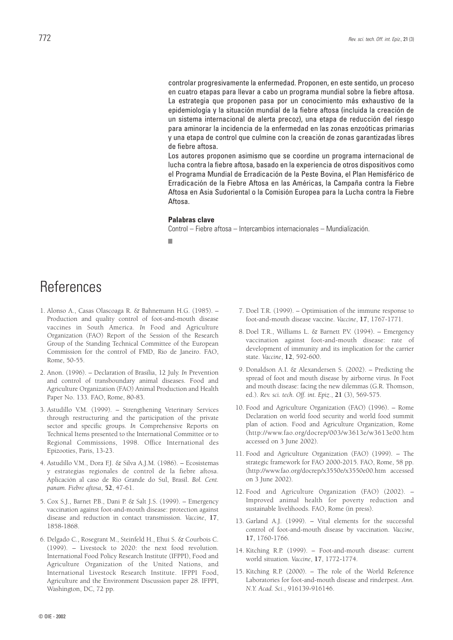controlar progresivamente la enfermedad. Proponen, en este sentido, un proceso en cuatro etapas para llevar a cabo un programa mundial sobre la fiebre aftosa. La estrategia que proponen pasa por un conocimiento más exhaustivo de la epidemiología y la situación mundial de la fiebre aftosa (incluida la creación de un sistema internacional de alerta precoz), una etapa de reducción del riesgo para aminorar la incidencia de la enfermedad en las zonas enzoóticas primarias y una etapa de control que culmine con la creación de zonas garantizadas libres de fiebre aftosa.

Los autores proponen asimismo que se coordine un programa internacional de lucha contra la fiebre aftosa, basado en la experiencia de otros dispositivos como el Programa Mundial de Erradicación de la Peste Bovina, el Plan Hemisférico de Erradicación de la Fiebre Aftosa en las Américas, la Campaña contra la Fiebre Aftosa en Asia Sudoriental o la Comisión Europea para la Lucha contra la Fiebre Aftosa.

#### **Palabras clave**

Control – Fiebre aftosa – Intercambios internacionales – Mundialización.

■

# **References**

- 1. Alonso A., Casas Olascoaga R. & Bahnemann H.G. (1985). Production and quality control of foot-and-mouth disease vaccines in South America. *In* Food and Agriculture Organization (FAO) Report of the Session of the Research Group of the Standing Technical Committee of the European Commission for the control of FMD, Rio de Janeiro. FAO, Rome, 50-55.
- 2. Anon. (1996). Declaration of Brasilia, 12 July. *In* Prevention and control of transboundary animal diseases. Food and Agriculture Organization (FAO) Animal Production and Health Paper No. 133. FAO, Rome, 80-83.
- 3. Astudillo V.M. (1999). Strengthening Veterinary Services through restructuring and the participation of the private sector and specific groups. *In* Comprehensive Reports on Technical Items presented to the International Committee or to Regional Commissions, 1998. Office International des Epizooties, Paris, 13-23.
- 4. Astudillo V.M., Dora F.J. & Silva A.J.M. (1986). Ecosistemas y estrategias regionales de control de la fiebre aftosa. Aplicación al caso de Rio Grande do Sul, Brasil. *Bol. Cent. panam. Fiebre aftosa*, **52**, 47-61.
- 5. Cox S.J., Barnet P.B., Dani P. & Salt J.S. (1999). Emergency vaccination against foot-and-mouth disease: protection against disease and reduction in contact transmission. *Vaccine*, **17**, 1858-1868.
- 6. Delgado C., Rosegrant M., Steinfeld H., Ehui S. & Courbois C. (1999). – Livestock to 2020: the next food revolution. International Food Policy Research Institute (IFPPI), Food and Agriculture Organization of the United Nations, and International Livestock Research Institute. IFPPI Food, Agriculture and the Environment Discussion paper 28. IFPPI, Washington, DC, 72 pp.
- 7. Doel T.R. (1999). Optimisation of the immune response to foot-and-mouth disease vaccine. *Vaccine*, **17**, 1767-1771.
- 8. Doel T.R., Williams L. & Barnett P.V. (1994). Emergency vaccination against foot-and-mouth disease: rate of development of immunity and its implication for the carrier state. *Vaccine*, **12**, 592-600.
- 9. Donaldson A.I. & Alexandersen S. (2002). Predicting the spread of foot and mouth disease by airborne virus. *In* Foot and mouth disease: facing the new dilemmas (G.R. Thomson, ed.). *Rev. sci. tech. Off. int. Epiz*., **21** (3), 569-575.
- 10. Food and Agriculture Organization (FAO) (1996). Rome Declaration on world food security and world food summit plan of action. Food and Agriculture Organization, Rome (http://www.fao.org/docrep/003/w3613e/w3613e00.htm accessed on 3 June 2002).
- 11. Food and Agriculture Organization (FAO) (1999). The strategic framework for FAO 2000-2015. FAO, Rome, 58 pp. (http://www.fao.org/docrep/x3550e/x3550e00.htm accessed on 3 June 2002).
- 12. Food and Agriculture Organization (FAO) (2002). Improved animal health for poverty reduction and sustainable livelihoods. FAO, Rome (in press).
- 13. Garland A.J. (1999). Vital elements for the successful control of foot-and-mouth disease by vaccination. *Vaccine*, **17**, 1760-1766.
- 14. Kitching R.P. (1999). Foot-and-mouth disease: current world situation. *Vaccine*, **17**, 1772-1774.
- 15. Kitching R.P. (2000). The role of the World Reference Laboratories for foot-and-mouth disease and rinderpest. *Ann. N.Y. Acad. Sci*., 916139-916146.